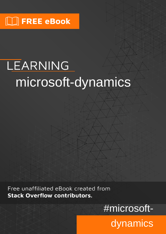# LEARNING microsoft-dynamics

Free unaffiliated eBook created from **Stack Overflow contributors.** 

#microsoft-

dynamics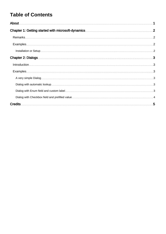## **Table of Contents**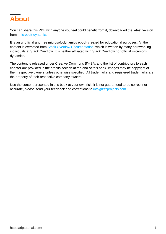<span id="page-2-0"></span>

You can share this PDF with anyone you feel could benefit from it, downloaded the latest version from: [microsoft-dynamics](http://riptutorial.com/ebook/microsoft-dynamics)

It is an unofficial and free microsoft-dynamics ebook created for educational purposes. All the content is extracted from [Stack Overflow Documentation](https://archive.org/details/documentation-dump.7z), which is written by many hardworking individuals at Stack Overflow. It is neither affiliated with Stack Overflow nor official microsoftdynamics.

The content is released under Creative Commons BY-SA, and the list of contributors to each chapter are provided in the credits section at the end of this book. Images may be copyright of their respective owners unless otherwise specified. All trademarks and registered trademarks are the property of their respective company owners.

Use the content presented in this book at your own risk; it is not guaranteed to be correct nor accurate, please send your feedback and corrections to [info@zzzprojects.com](mailto:info@zzzprojects.com)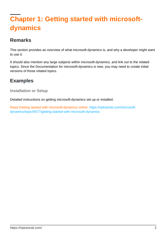## <span id="page-3-0"></span>**Chapter 1: Getting started with microsoftdynamics**

### <span id="page-3-1"></span>**Remarks**

This section provides an overview of what microsoft-dynamics is, and why a developer might want to use it.

It should also mention any large subjects within microsoft-dynamics, and link out to the related topics. Since the Documentation for microsoft-dynamics is new, you may need to create initial versions of those related topics.

## <span id="page-3-2"></span>**Examples**

<span id="page-3-3"></span>**Installation or Setup**

Detailed instructions on getting microsoft-dynamics set up or installed.

Read Getting started with microsoft-dynamics online: [https://riptutorial.com/microsoft](https://riptutorial.com/microsoft-dynamics/topic/9477/getting-started-with-microsoft-dynamics)[dynamics/topic/9477/getting-started-with-microsoft-dynamics](https://riptutorial.com/microsoft-dynamics/topic/9477/getting-started-with-microsoft-dynamics)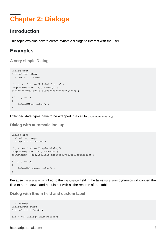## <span id="page-4-0"></span>**Chapter 2: Dialogs**

#### <span id="page-4-1"></span>**Introduction**

<span id="page-4-2"></span>This topic explains how to create dynamic dialogs to interact with the user.

#### **Examples**

#### <span id="page-4-3"></span>**A very simple Dialog**

```
Dialog dlg;
DialogGroup dGrp;
DialogField dfName;
dlg = new Dialog("Trivial Dialog");
dGrp = dlg.addGroup("A Group");
dfName = dlg.addField(extendedTypeStr(Name));
if (dlg.run())
{
     info(dfName.value());
}
```
<span id="page-4-4"></span>Extended data types have to be wrapped in a call to  $ext{expectation}$ 

**Dialog with automatic lookup**

```
Dialog dlg;
DialogGroup dGrp;
DialogField dfCustomer;
dlg = new Dialog("Simple Dialog");
dGrp = dlg.addGroup("A Group");
dfCustomer = dlg.addField(extendedTypeStr(CustAccount));
if (dlg.run())
{
     info(dfCustomer.value());
}
```
Because CustAccount is linked to the AccountNum field in the table CustTable dynamics will convert the field to a dropdown and populate it with all the records of that table.

<span id="page-4-5"></span>**Dialog with Enum field and custom label**

```
Dialog dlg;
DialogGroup dGrp;
DialogField dfGender;
dlg = new Dialog("Enum Dialog");
```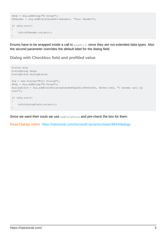```
dGrp = dlg.addGroup("A Group");
dfGender = dlg.addField(enumStr(Gender), "Your Gender");
if (dlg.run())
{
     info(dfGender.value());
}
```
Enums have to be wrapped inside a call to  $_{\text{enumstr}()}$  since they are not extended data types. Also the second parameter overrides the default label for the dialog field.

<span id="page-5-0"></span>**Dialog with Checkbox field and prefilled value**

```
Dialog dlg;
DialogGroup dGrp;
DialogField dialogField;
dlg = new Dialog("Evil Dialog");
dGrp = dlg.addGroup("A Group");
dialogField = dlg.addFieldValue(extendedTypeStr(NoYesId), NoYes::Yes, "I hereby sell my
soul");
if (dlg.run())
{
     info(dialogField.value());
}
```
Since we want their souls we use addFieldValue and pre-check the box for them.

Read Dialogs online:<https://riptutorial.com/microsoft-dynamics/topic/9644/dialogs>